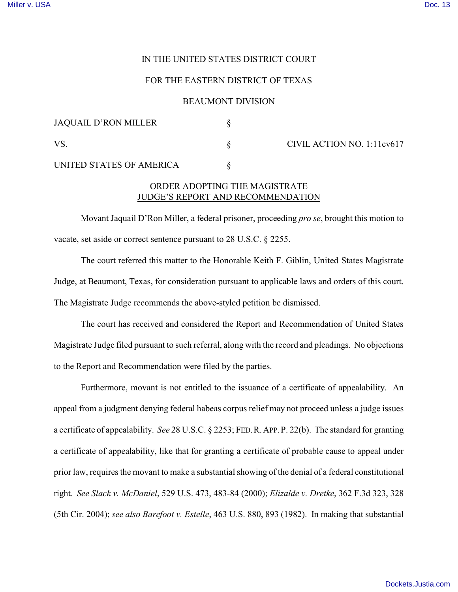# IN THE UNITED STATES DISTRICT COURT

### FOR THE EASTERN DISTRICT OF TEXAS

# BEAUMONT DIVISION

| JAQUAIL D'RON MILLER     |                            |
|--------------------------|----------------------------|
| VS                       | CIVIL ACTION NO. 1:11cv617 |
| UNITED STATES OF AMERICA |                            |

# ORDER ADOPTING THE MAGISTRATE JUDGE'S REPORT AND RECOMMENDATION

Movant Jaquail D'Ron Miller, a federal prisoner, proceeding *pro se*, brought this motion to vacate, set aside or correct sentence pursuant to 28 U.S.C. § 2255.

The court referred this matter to the Honorable Keith F. Giblin, United States Magistrate Judge, at Beaumont, Texas, for consideration pursuant to applicable laws and orders of this court. The Magistrate Judge recommends the above-styled petition be dismissed.

The court has received and considered the Report and Recommendation of United States Magistrate Judge filed pursuant to such referral, along with the record and pleadings. No objections to the Report and Recommendation were filed by the parties.

Furthermore, movant is not entitled to the issuance of a certificate of appealability. An appeal from a judgment denying federal habeas corpus relief may not proceed unless a judge issues a certificate of appealability. *See* 28 U.S.C. § 2253; FED.R.APP.P. 22(b). The standard for granting a certificate of appealability, like that for granting a certificate of probable cause to appeal under prior law, requires the movant to make a substantial showing of the denial of a federal constitutional right. *See Slack v. McDaniel*, 529 U.S. 473, 483-84 (2000); *Elizalde v. Dretke*, 362 F.3d 323, 328 (5th Cir. 2004); *see also Barefoot v. Estelle*, 463 U.S. 880, 893 (1982). In making that substantial